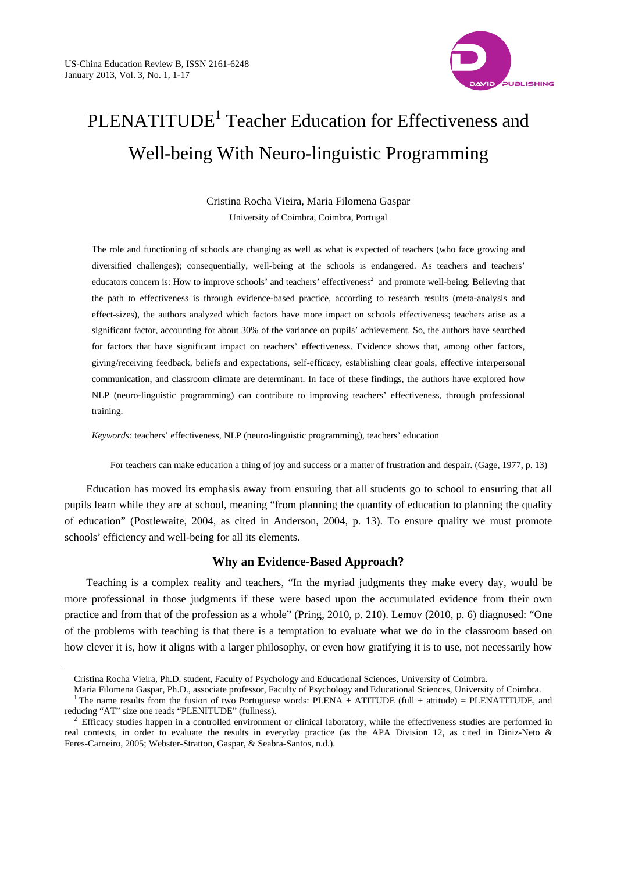$\overline{a}$ 



# PLENATITUDE<sup>1</sup> Teacher Education for Effectiveness and Well-being With Neuro-linguistic Programming

Cristina Rocha Vieira, Maria Filomena Gaspar University of Coimbra, Coimbra, Portugal

The role and functioning of schools are changing as well as what is expected of teachers (who face growing and diversified challenges); consequentially, well-being at the schools is endangered. As teachers and teachers' educators concern is: How to improve schools' and teachers' effectiveness<sup>2</sup> and promote well-being. Believing that the path to effectiveness is through evidence-based practice, according to research results (meta-analysis and effect-sizes), the authors analyzed which factors have more impact on schools effectiveness; teachers arise as a significant factor, accounting for about 30% of the variance on pupils' achievement. So, the authors have searched for factors that have significant impact on teachers' effectiveness. Evidence shows that, among other factors, giving/receiving feedback, beliefs and expectations, self-efficacy, establishing clear goals, effective interpersonal communication, and classroom climate are determinant. In face of these findings, the authors have explored how NLP (neuro-linguistic programming) can contribute to improving teachers' effectiveness, through professional training.

*Keywords:* teachers' effectiveness, NLP (neuro-linguistic programming), teachers' education

For teachers can make education a thing of joy and success or a matter of frustration and despair. (Gage, 1977, p. 13)

Education has moved its emphasis away from ensuring that all students go to school to ensuring that all pupils learn while they are at school, meaning "from planning the quantity of education to planning the quality of education" (Postlewaite, 2004, as cited in Anderson, 2004, p. 13). To ensure quality we must promote schools' efficiency and well-being for all its elements.

## **Why an Evidence-Based Approach?**

Teaching is a complex reality and teachers, "In the myriad judgments they make every day, would be more professional in those judgments if these were based upon the accumulated evidence from their own practice and from that of the profession as a whole" (Pring, 2010, p. 210). Lemov (2010, p. 6) diagnosed: "One of the problems with teaching is that there is a temptation to evaluate what we do in the classroom based on how clever it is, how it aligns with a larger philosophy, or even how gratifying it is to use, not necessarily how

Cristina Rocha Vieira, Ph.D. student, Faculty of Psychology and Educational Sciences, University of Coimbra.

Maria Filomena Gaspar, Ph.D., associate professor, Faculty of Psychology and Educational Sciences, University of Coimbra.<br><sup>1</sup> The name results from the fusion of two Portuguese words: PLENA + ATITUDE (full + attitude) = PL reducing "AT" size one reads "PLENITUDE" (fullness). 2

Efficacy studies happen in a controlled environment or clinical laboratory, while the effectiveness studies are performed in real contexts, in order to evaluate the results in everyday practice (as the APA Division 12, as cited in Diniz-Neto & Feres-Carneiro, 2005; Webster-Stratton, Gaspar, & Seabra-Santos, n.d.).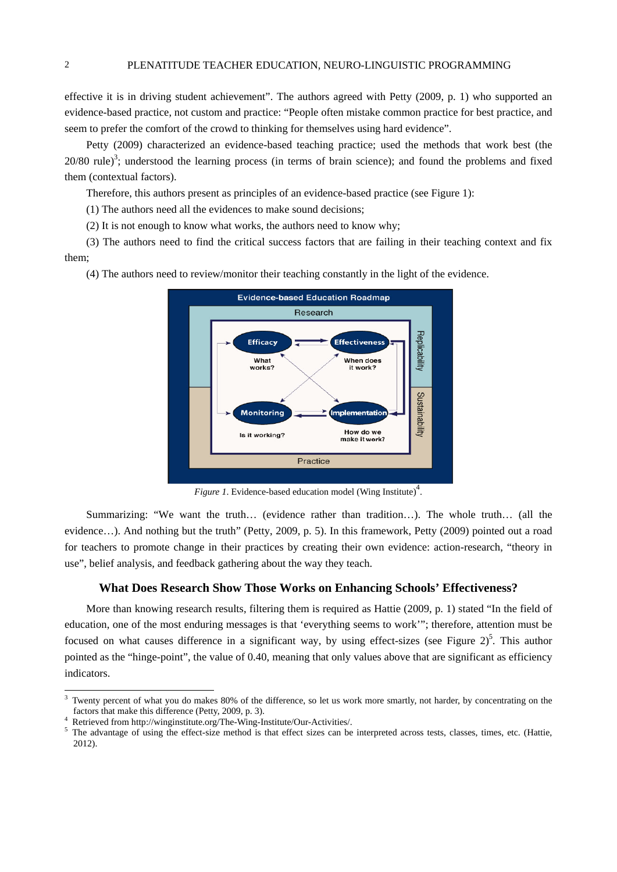effective it is in driving student achievement". The authors agreed with Petty (2009, p. 1) who supported an evidence-based practice, not custom and practice: "People often mistake common practice for best practice, and seem to prefer the comfort of the crowd to thinking for themselves using hard evidence".

Petty (2009) characterized an evidence-based teaching practice; used the methods that work best (the  $20/80$  rule)<sup>3</sup>; understood the learning process (in terms of brain science); and found the problems and fixed them (contextual factors).

Therefore, this authors present as principles of an evidence-based practice (see Figure 1):

(1) The authors need all the evidences to make sound decisions;

(2) It is not enough to know what works, the authors need to know why;

(3) The authors need to find the critical success factors that are failing in their teaching context and fix them;

(4) The authors need to review/monitor their teaching constantly in the light of the evidence.



Figure 1. Evidence-based education model (Wing Institute)<sup>4</sup>.

Summarizing: "We want the truth… (evidence rather than tradition…). The whole truth… (all the evidence…). And nothing but the truth" (Petty, 2009, p. 5). In this framework, Petty (2009) pointed out a road for teachers to promote change in their practices by creating their own evidence: action-research, "theory in use", belief analysis, and feedback gathering about the way they teach.

#### **What Does Research Show Those Works on Enhancing Schools' Effectiveness?**

More than knowing research results, filtering them is required as Hattie (2009, p. 1) stated "In the field of education, one of the most enduring messages is that 'everything seems to work'"; therefore, attention must be focused on what causes difference in a significant way, by using effect-sizes (see Figure 2)<sup>5</sup>. This author pointed as the "hinge-point", the value of 0.40, meaning that only values above that are significant as efficiency indicators.

<sup>3</sup> Twenty percent of what you do makes 80% of the difference, so let us work more smartly, not harder, by concentrating on the factors that make this difference (Petty, 2009, p. 3).

Retrieved from http://winginstitute.org/The-Wing-Institute/Our-Activities/. 5

<sup>&</sup>lt;sup>5</sup> The advantage of using the effect-size method is that effect sizes can be interpreted across tests, classes, times, etc. (Hattie, 2012).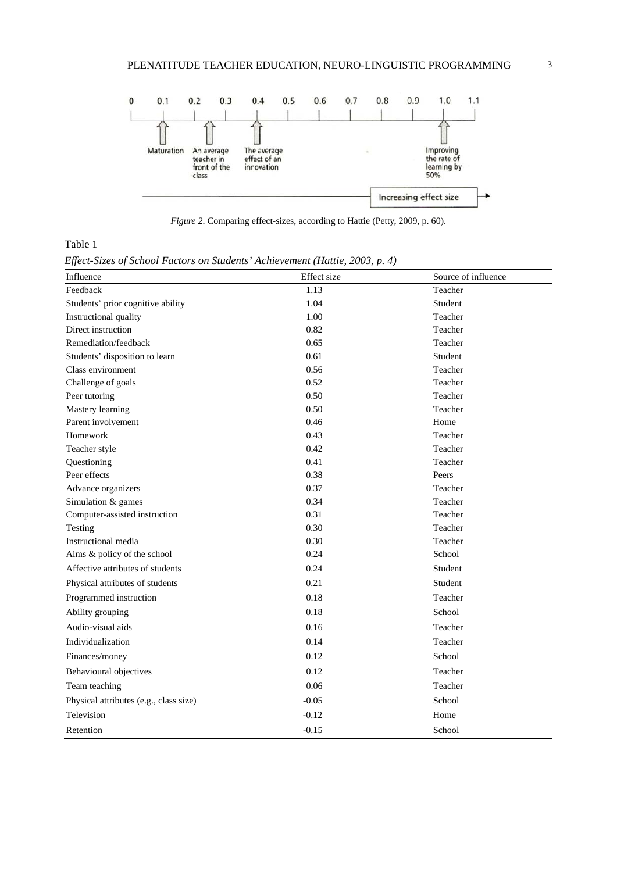

*Figure 2*. Comparing effect-sizes, according to Hattie (Petty, 2009, p. 60).

Table 1

*Effect-Sizes of School Factors on Students' Achievement (Hattie, 2003, p. 4)* 

| Influence                              | Effect size | Source of influence |
|----------------------------------------|-------------|---------------------|
| Feedback                               | 1.13        | Teacher             |
| Students' prior cognitive ability      | 1.04        | Student             |
| Instructional quality                  | 1.00        | Teacher             |
| Direct instruction                     | 0.82        | Teacher             |
| Remediation/feedback                   | 0.65        | Teacher             |
| Students' disposition to learn         | 0.61        | Student             |
| Class environment                      | 0.56        | Teacher             |
| Challenge of goals                     | 0.52        | Teacher             |
| Peer tutoring                          | 0.50        | Teacher             |
| Mastery learning                       | 0.50        | Teacher             |
| Parent involvement                     | 0.46        | Home                |
| Homework                               | 0.43        | Teacher             |
| Teacher style                          | 0.42        | Teacher             |
| Questioning                            | 0.41        | Teacher             |
| Peer effects                           | 0.38        | Peers               |
| Advance organizers                     | 0.37        | Teacher             |
| Simulation & games                     | 0.34        | Teacher             |
| Computer-assisted instruction          | 0.31        | Teacher             |
| Testing                                | 0.30        | Teacher             |
| Instructional media                    | 0.30        | Teacher             |
| Aims & policy of the school            | 0.24        | School              |
| Affective attributes of students       | 0.24        | Student             |
| Physical attributes of students        | 0.21        | Student             |
| Programmed instruction                 | 0.18        | Teacher             |
| Ability grouping                       | 0.18        | School              |
| Audio-visual aids                      | 0.16        | Teacher             |
| Individualization                      | 0.14        | Teacher             |
| Finances/money                         | 0.12        | School              |
| Behavioural objectives                 | 0.12        | Teacher             |
| Team teaching                          | 0.06        | Teacher             |
| Physical attributes (e.g., class size) | $-0.05$     | School              |
| Television                             | $-0.12$     | Home                |
| Retention                              | $-0.15$     | School              |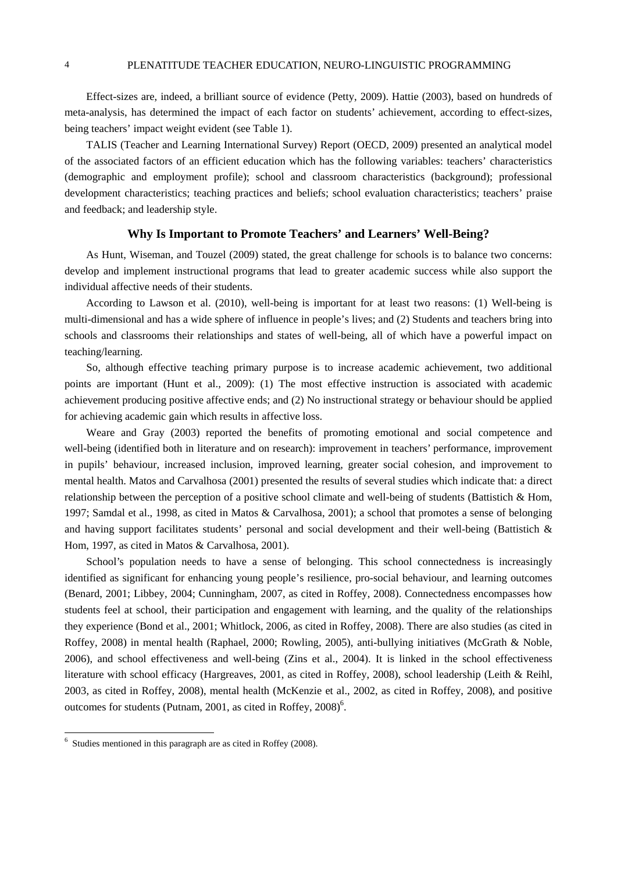Effect-sizes are, indeed, a brilliant source of evidence (Petty, 2009). Hattie (2003), based on hundreds of meta-analysis, has determined the impact of each factor on students' achievement, according to effect-sizes, being teachers' impact weight evident (see Table 1).

TALIS (Teacher and Learning International Survey) Report (OECD, 2009) presented an analytical model of the associated factors of an efficient education which has the following variables: teachers' characteristics (demographic and employment profile); school and classroom characteristics (background); professional development characteristics; teaching practices and beliefs; school evaluation characteristics; teachers' praise and feedback; and leadership style.

#### **Why Is Important to Promote Teachers' and Learners' Well-Being?**

As Hunt, Wiseman, and Touzel (2009) stated, the great challenge for schools is to balance two concerns: develop and implement instructional programs that lead to greater academic success while also support the individual affective needs of their students.

According to Lawson et al. (2010), well-being is important for at least two reasons: (1) Well-being is multi-dimensional and has a wide sphere of influence in people's lives; and (2) Students and teachers bring into schools and classrooms their relationships and states of well-being, all of which have a powerful impact on teaching/learning.

So, although effective teaching primary purpose is to increase academic achievement, two additional points are important (Hunt et al., 2009): (1) The most effective instruction is associated with academic achievement producing positive affective ends; and (2) No instructional strategy or behaviour should be applied for achieving academic gain which results in affective loss.

Weare and Gray (2003) reported the benefits of promoting emotional and social competence and well-being (identified both in literature and on research): improvement in teachers' performance, improvement in pupils' behaviour, increased inclusion, improved learning, greater social cohesion, and improvement to mental health. Matos and Carvalhosa (2001) presented the results of several studies which indicate that: a direct relationship between the perception of a positive school climate and well-being of students (Battistich & Hom, 1997; Samdal et al., 1998, as cited in Matos & Carvalhosa, 2001); a school that promotes a sense of belonging and having support facilitates students' personal and social development and their well-being (Battistich & Hom, 1997, as cited in Matos & Carvalhosa, 2001).

School's population needs to have a sense of belonging. This school connectedness is increasingly identified as significant for enhancing young people's resilience, pro-social behaviour, and learning outcomes (Benard, 2001; Libbey, 2004; Cunningham, 2007, as cited in Roffey, 2008). Connectedness encompasses how students feel at school, their participation and engagement with learning, and the quality of the relationships they experience (Bond et al., 2001; Whitlock, 2006, as cited in Roffey, 2008). There are also studies (as cited in Roffey, 2008) in mental health (Raphael, 2000; Rowling, 2005), anti-bullying initiatives (McGrath & Noble, 2006), and school effectiveness and well-being (Zins et al., 2004). It is linked in the school effectiveness literature with school efficacy (Hargreaves, 2001, as cited in Roffey, 2008), school leadership (Leith & Reihl, 2003, as cited in Roffey, 2008), mental health (McKenzie et al., 2002, as cited in Roffey, 2008), and positive outcomes for students (Putnam, 2001, as cited in Roffey,  $2008$ <sup>6</sup>.

 6 Studies mentioned in this paragraph are as cited in Roffey (2008).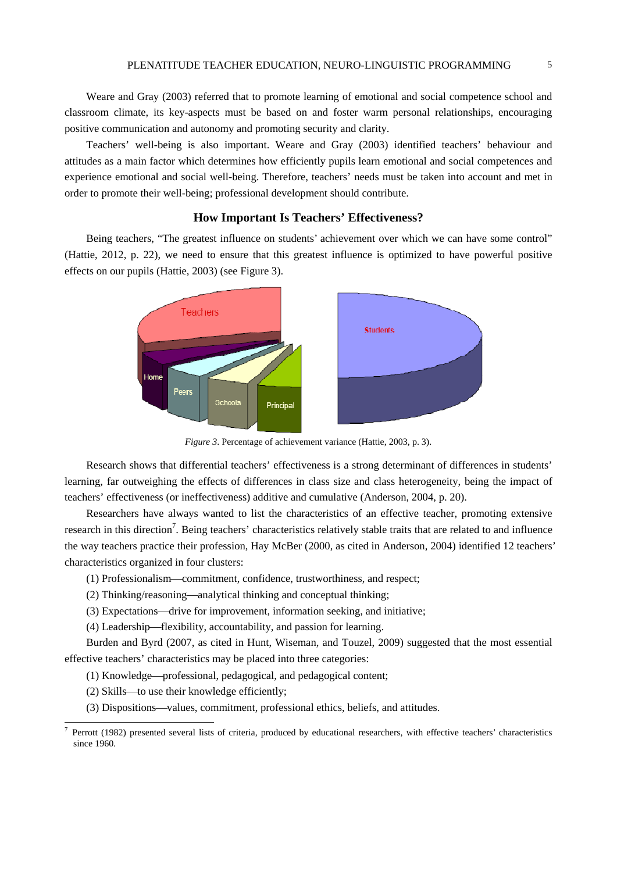Weare and Gray (2003) referred that to promote learning of emotional and social competence school and classroom climate, its key-aspects must be based on and foster warm personal relationships, encouraging positive communication and autonomy and promoting security and clarity.

Teachers' well-being is also important. Weare and Gray (2003) identified teachers' behaviour and attitudes as a main factor which determines how efficiently pupils learn emotional and social competences and experience emotional and social well-being. Therefore, teachers' needs must be taken into account and met in order to promote their well-being; professional development should contribute.

## **How Important Is Teachers' Effectiveness?**

Being teachers, "The greatest influence on students' achievement over which we can have some control" (Hattie, 2012, p. 22), we need to ensure that this greatest influence is optimized to have powerful positive effects on our pupils (Hattie, 2003) (see Figure 3).



*Figure 3*. Percentage of achievement variance (Hattie, 2003, p. 3).

Research shows that differential teachers' effectiveness is a strong determinant of differences in students' learning, far outweighing the effects of differences in class size and class heterogeneity, being the impact of teachers' effectiveness (or ineffectiveness) additive and cumulative (Anderson, 2004, p. 20).

Researchers have always wanted to list the characteristics of an effective teacher, promoting extensive research in this direction<sup>7</sup>. Being teachers' characteristics relatively stable traits that are related to and influence the way teachers practice their profession, Hay McBer (2000, as cited in Anderson, 2004) identified 12 teachers' characteristics organized in four clusters:

- (1) Professionalism—commitment, confidence, trustworthiness, and respect;
- $(2)$  Thinking/reasoning—analytical thinking and conceptual thinking;
- (3) Expectations—drive for improvement, information seeking, and initiative;

 $(4)$  Leadership—flexibility, accountability, and passion for learning.

Burden and Byrd (2007, as cited in Hunt, Wiseman, and Touzel, 2009) suggested that the most essential effective teachers' characteristics may be placed into three categories:

- (1) Knowledge—professional, pedagogical, and pedagogical content;
- $(2)$  Skills—to use their knowledge efficiently;

 $\overline{a}$ 

(3) Dispositions—values, commitment, professional ethics, beliefs, and attitudes.

<sup>7</sup> Perrott (1982) presented several lists of criteria, produced by educational researchers, with effective teachers' characteristics since 1960.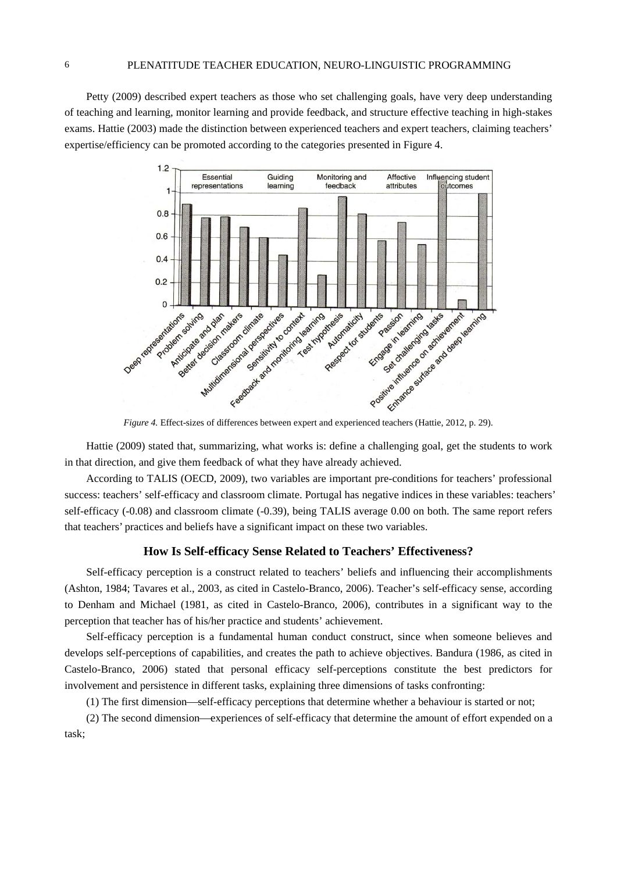Petty (2009) described expert teachers as those who set challenging goals, have very deep understanding of teaching and learning, monitor learning and provide feedback, and structure effective teaching in high-stakes exams. Hattie (2003) made the distinction between experienced teachers and expert teachers, claiming teachers' expertise/efficiency can be promoted according to the categories presented in Figure 4.



Hattie (2009) stated that, summarizing, what works is: define a challenging goal, get the students to work in that direction, and give them feedback of what they have already achieved.

According to TALIS (OECD, 2009), two variables are important pre-conditions for teachers' professional success: teachers' self-efficacy and classroom climate. Portugal has negative indices in these variables: teachers' self-efficacy (-0.08) and classroom climate (-0.39), being TALIS average 0.00 on both. The same report refers that teachers' practices and beliefs have a significant impact on these two variables.

#### **How Is Self-efficacy Sense Related to Teachers' Effectiveness?**

Self-efficacy perception is a construct related to teachers' beliefs and influencing their accomplishments (Ashton, 1984; Tavares et al., 2003, as cited in Castelo-Branco, 2006). Teacher's self-efficacy sense, according to Denham and Michael (1981, as cited in Castelo-Branco, 2006), contributes in a significant way to the perception that teacher has of his/her practice and students' achievement.

Self-efficacy perception is a fundamental human conduct construct, since when someone believes and develops self-perceptions of capabilities, and creates the path to achieve objectives. Bandura (1986, as cited in Castelo-Branco, 2006) stated that personal efficacy self-perceptions constitute the best predictors for involvement and persistence in different tasks, explaining three dimensions of tasks confronting:

 $(1)$  The first dimension—self-efficacy perceptions that determine whether a behaviour is started or not;

(2) The second dimension—experiences of self-efficacy that determine the amount of effort expended on a task;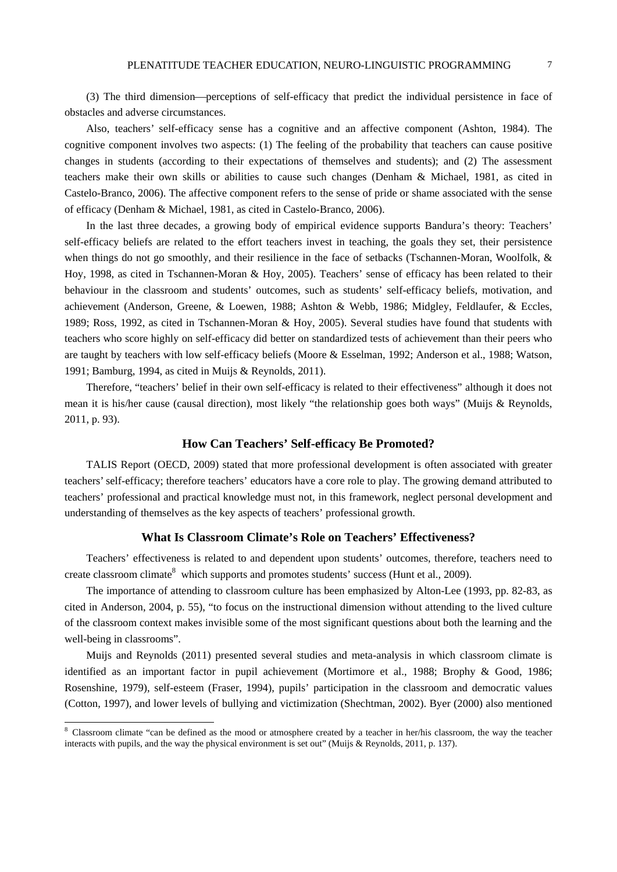(3) The third dimension—perceptions of self-efficacy that predict the individual persistence in face of obstacles and adverse circumstances.

Also, teachers' self-efficacy sense has a cognitive and an affective component (Ashton, 1984). The cognitive component involves two aspects: (1) The feeling of the probability that teachers can cause positive changes in students (according to their expectations of themselves and students); and (2) The assessment teachers make their own skills or abilities to cause such changes (Denham & Michael, 1981, as cited in Castelo-Branco, 2006). The affective component refers to the sense of pride or shame associated with the sense of efficacy (Denham & Michael, 1981, as cited in Castelo-Branco, 2006).

In the last three decades, a growing body of empirical evidence supports Bandura's theory: Teachers' self-efficacy beliefs are related to the effort teachers invest in teaching, the goals they set, their persistence when things do not go smoothly, and their resilience in the face of setbacks (Tschannen-Moran, Woolfolk, & Hoy, 1998, as cited in Tschannen-Moran & Hoy, 2005). Teachers' sense of efficacy has been related to their behaviour in the classroom and students' outcomes, such as students' self-efficacy beliefs, motivation, and achievement (Anderson, Greene, & Loewen, 1988; Ashton & Webb, 1986; Midgley, Feldlaufer, & Eccles, 1989; Ross, 1992, as cited in Tschannen-Moran & Hoy, 2005). Several studies have found that students with teachers who score highly on self-efficacy did better on standardized tests of achievement than their peers who are taught by teachers with low self-efficacy beliefs (Moore & Esselman, 1992; Anderson et al., 1988; Watson, 1991; Bamburg, 1994, as cited in Muijs & Reynolds, 2011).

Therefore, "teachers' belief in their own self-efficacy is related to their effectiveness" although it does not mean it is his/her cause (causal direction), most likely "the relationship goes both ways" (Muijs & Reynolds, 2011, p. 93).

#### **How Can Teachers' Self-efficacy Be Promoted?**

TALIS Report (OECD, 2009) stated that more professional development is often associated with greater teachers' self-efficacy; therefore teachers' educators have a core role to play. The growing demand attributed to teachers' professional and practical knowledge must not, in this framework, neglect personal development and understanding of themselves as the key aspects of teachers' professional growth.

## **What Is Classroom Climate's Role on Teachers' Effectiveness?**

Teachers' effectiveness is related to and dependent upon students' outcomes, therefore, teachers need to create classroom climate<sup>8</sup> which supports and promotes students' success (Hunt et al., 2009).

The importance of attending to classroom culture has been emphasized by Alton-Lee (1993, pp. 82-83, as cited in Anderson, 2004, p. 55), "to focus on the instructional dimension without attending to the lived culture of the classroom context makes invisible some of the most significant questions about both the learning and the well-being in classrooms".

Muijs and Reynolds (2011) presented several studies and meta-analysis in which classroom climate is identified as an important factor in pupil achievement (Mortimore et al., 1988; Brophy & Good, 1986; Rosenshine, 1979), self-esteem (Fraser, 1994), pupils' participation in the classroom and democratic values (Cotton, 1997), and lower levels of bullying and victimization (Shechtman, 2002). Byer (2000) also mentioned

<sup>&</sup>lt;sup>8</sup> Classroom climate "can be defined as the mood or atmosphere created by a teacher in her/his classroom, the way the teacher interacts with pupils, and the way the physical environment is set out" (Muijs & Reynolds, 2011, p. 137).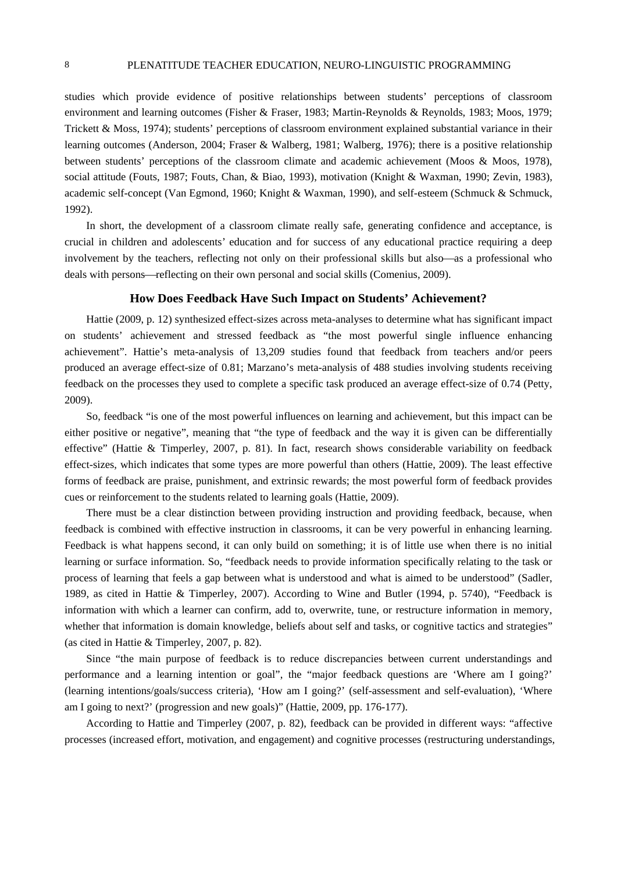studies which provide evidence of positive relationships between students' perceptions of classroom environment and learning outcomes (Fisher & Fraser, 1983; Martin-Reynolds & Reynolds, 1983; Moos, 1979; Trickett & Moss, 1974); students' perceptions of classroom environment explained substantial variance in their learning outcomes (Anderson, 2004; Fraser & Walberg, 1981; Walberg, 1976); there is a positive relationship between students' perceptions of the classroom climate and academic achievement (Moos & Moos, 1978), social attitude (Fouts, 1987; Fouts, Chan, & Biao, 1993), motivation (Knight & Waxman, 1990; Zevin, 1983), academic self-concept (Van Egmond, 1960; Knight & Waxman, 1990), and self-esteem (Schmuck & Schmuck, 1992).

In short, the development of a classroom climate really safe, generating confidence and acceptance, is crucial in children and adolescents' education and for success of any educational practice requiring a deep involvement by the teachers, reflecting not only on their professional skills but also—as a professional who deals with persons—reflecting on their own personal and social skills (Comenius, 2009).

#### **How Does Feedback Have Such Impact on Students' Achievement?**

Hattie (2009, p. 12) synthesized effect-sizes across meta-analyses to determine what has significant impact on students' achievement and stressed feedback as "the most powerful single influence enhancing achievement". Hattie's meta-analysis of 13,209 studies found that feedback from teachers and/or peers produced an average effect-size of 0.81; Marzano's meta-analysis of 488 studies involving students receiving feedback on the processes they used to complete a specific task produced an average effect-size of 0.74 (Petty, 2009).

So, feedback "is one of the most powerful influences on learning and achievement, but this impact can be either positive or negative", meaning that "the type of feedback and the way it is given can be differentially effective" (Hattie & Timperley, 2007, p. 81). In fact, research shows considerable variability on feedback effect-sizes, which indicates that some types are more powerful than others (Hattie, 2009). The least effective forms of feedback are praise, punishment, and extrinsic rewards; the most powerful form of feedback provides cues or reinforcement to the students related to learning goals (Hattie, 2009).

There must be a clear distinction between providing instruction and providing feedback, because, when feedback is combined with effective instruction in classrooms, it can be very powerful in enhancing learning. Feedback is what happens second, it can only build on something; it is of little use when there is no initial learning or surface information. So, "feedback needs to provide information specifically relating to the task or process of learning that feels a gap between what is understood and what is aimed to be understood" (Sadler, 1989, as cited in Hattie & Timperley, 2007). According to Wine and Butler (1994, p. 5740), "Feedback is information with which a learner can confirm, add to, overwrite, tune, or restructure information in memory, whether that information is domain knowledge, beliefs about self and tasks, or cognitive tactics and strategies" (as cited in Hattie & Timperley, 2007, p. 82).

Since "the main purpose of feedback is to reduce discrepancies between current understandings and performance and a learning intention or goal", the "major feedback questions are 'Where am I going?' (learning intentions/goals/success criteria), 'How am I going?' (self-assessment and self-evaluation), 'Where am I going to next?' (progression and new goals)" (Hattie, 2009, pp. 176-177).

According to Hattie and Timperley (2007, p. 82), feedback can be provided in different ways: "affective processes (increased effort, motivation, and engagement) and cognitive processes (restructuring understandings,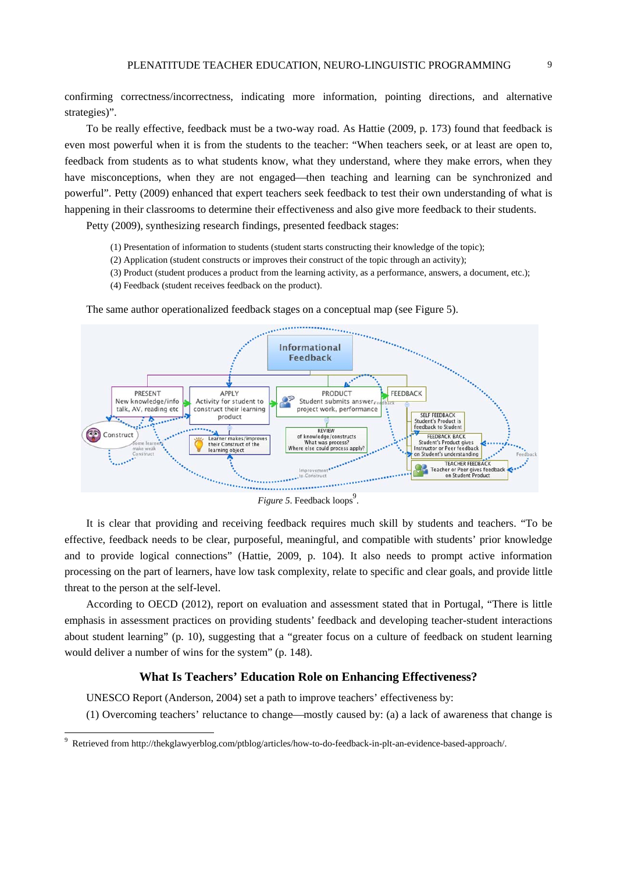confirming correctness/incorrectness, indicating more information, pointing directions, and alternative strategies)".

To be really effective, feedback must be a two-way road. As Hattie (2009, p. 173) found that feedback is even most powerful when it is from the students to the teacher: "When teachers seek, or at least are open to, feedback from students as to what students know, what they understand, where they make errors, when they have misconceptions, when they are not engaged—then teaching and learning can be synchronized and powerful". Petty (2009) enhanced that expert teachers seek feedback to test their own understanding of what is happening in their classrooms to determine their effectiveness and also give more feedback to their students.

Petty (2009), synthesizing research findings, presented feedback stages:

- (1) Presentation of information to students (student starts constructing their knowledge of the topic);
- (2) Application (student constructs or improves their construct of the topic through an activity);
- (3) Product (student produces a product from the learning activity, as a performance, answers, a document, etc.);
- (4) Feedback (student receives feedback on the product).

Informational **Feedback** PRESENT APPLY PRODUCT FEEDBACK New knowledge/info Activity for student to Student submits answer talk, AV, reading etc construct their learning project work, performance SELE FEEDRACK product Student's Product is<br>feedback to Student Learner makes/impro<br>their Construct of the<br>learning object REVIEW Construct KEVIEW<br>of knowledge/constructs<br>What was process?<br>Where else could process appl FEEDBACK BACK FEEDBACK BACK<br>Student's Product gives<br>Instructor or Peer feedback<br>on Student's understanding TEACHER FEEDBACK TEACHER FEEDBACK<br>Teacher or Peer gives feedback<br>on Student Product **Commission Commission** 

The same author operationalized feedback stages on a conceptual map (see Figure 5).

*Figure 5.* Feedback loops<sup>9</sup>.

It is clear that providing and receiving feedback requires much skill by students and teachers. "To be effective, feedback needs to be clear, purposeful, meaningful, and compatible with students' prior knowledge and to provide logical connections" (Hattie, 2009, p. 104). It also needs to prompt active information processing on the part of learners, have low task complexity, relate to specific and clear goals, and provide little threat to the person at the self-level.

According to OECD (2012), report on evaluation and assessment stated that in Portugal, "There is little emphasis in assessment practices on providing students' feedback and developing teacher-student interactions about student learning" (p. 10), suggesting that a "greater focus on a culture of feedback on student learning would deliver a number of wins for the system" (p. 148).

## **What Is Teachers' Education Role on Enhancing Effectiveness?**

UNESCO Report (Anderson, 2004) set a path to improve teachers' effectiveness by:

 $(1)$  Overcoming teachers' reluctance to change—mostly caused by: (a) a lack of awareness that change is

 9 Retrieved from http://thekglawyerblog.com/ptblog/articles/how-to-do-feedback-in-plt-an-evidence-based-approach/.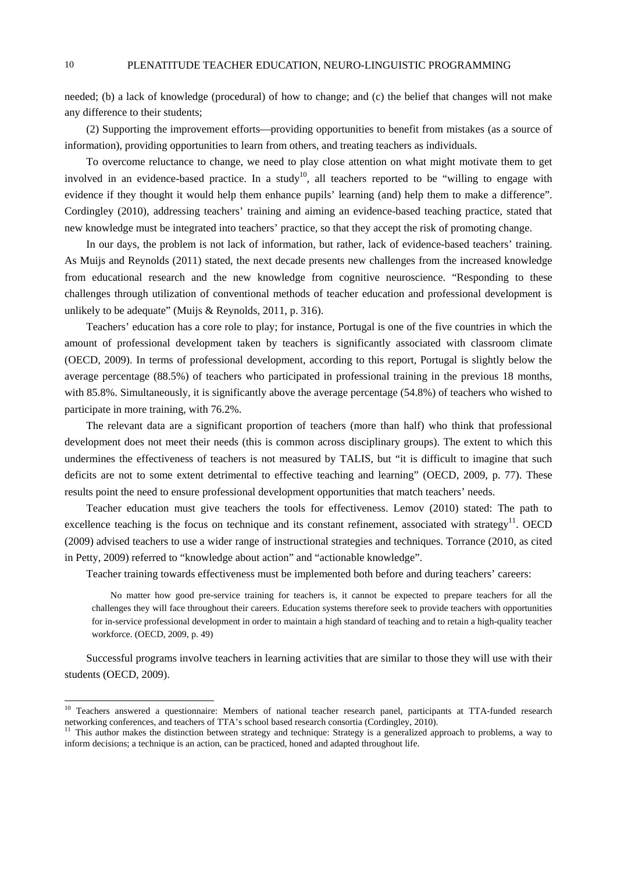needed; (b) a lack of knowledge (procedural) of how to change; and (c) the belief that changes will not make any difference to their students;

(2) Supporting the improvement efforts—providing opportunities to benefit from mistakes (as a source of information), providing opportunities to learn from others, and treating teachers as individuals.

To overcome reluctance to change, we need to play close attention on what might motivate them to get involved in an evidence-based practice. In a study<sup>10</sup>, all teachers reported to be "willing to engage with evidence if they thought it would help them enhance pupils' learning (and) help them to make a difference". Cordingley (2010), addressing teachers' training and aiming an evidence-based teaching practice, stated that new knowledge must be integrated into teachers' practice, so that they accept the risk of promoting change.

In our days, the problem is not lack of information, but rather, lack of evidence-based teachers' training. As Muijs and Reynolds (2011) stated, the next decade presents new challenges from the increased knowledge from educational research and the new knowledge from cognitive neuroscience. "Responding to these challenges through utilization of conventional methods of teacher education and professional development is unlikely to be adequate" (Muijs & Reynolds, 2011, p. 316).

Teachers' education has a core role to play; for instance, Portugal is one of the five countries in which the amount of professional development taken by teachers is significantly associated with classroom climate (OECD, 2009). In terms of professional development, according to this report, Portugal is slightly below the average percentage (88.5%) of teachers who participated in professional training in the previous 18 months, with 85.8%. Simultaneously, it is significantly above the average percentage (54.8%) of teachers who wished to participate in more training, with 76.2%.

The relevant data are a significant proportion of teachers (more than half) who think that professional development does not meet their needs (this is common across disciplinary groups). The extent to which this undermines the effectiveness of teachers is not measured by TALIS, but "it is difficult to imagine that such deficits are not to some extent detrimental to effective teaching and learning" (OECD, 2009, p. 77). These results point the need to ensure professional development opportunities that match teachers' needs.

Teacher education must give teachers the tools for effectiveness. Lemov (2010) stated: The path to excellence teaching is the focus on technique and its constant refinement, associated with strategy<sup>11</sup>. OECD (2009) advised teachers to use a wider range of instructional strategies and techniques. Torrance (2010, as cited in Petty, 2009) referred to "knowledge about action" and "actionable knowledge".

Teacher training towards effectiveness must be implemented both before and during teachers' careers:

No matter how good pre-service training for teachers is, it cannot be expected to prepare teachers for all the challenges they will face throughout their careers. Education systems therefore seek to provide teachers with opportunities for in-service professional development in order to maintain a high standard of teaching and to retain a high-quality teacher workforce. (OECD, 2009, p. 49)

Successful programs involve teachers in learning activities that are similar to those they will use with their students (OECD, 2009).

<sup>&</sup>lt;sup>10</sup> Teachers answered a questionnaire: Members of national teacher research panel, participants at TTA-funded research networking conferences, and teachers of TTA's school based research consortia (Cordingley, 2010).<br><sup>11</sup> This author makes the distinction between strategy and technique: Strategy is a generalized approach to problems, a wa

inform decisions; a technique is an action, can be practiced, honed and adapted throughout life.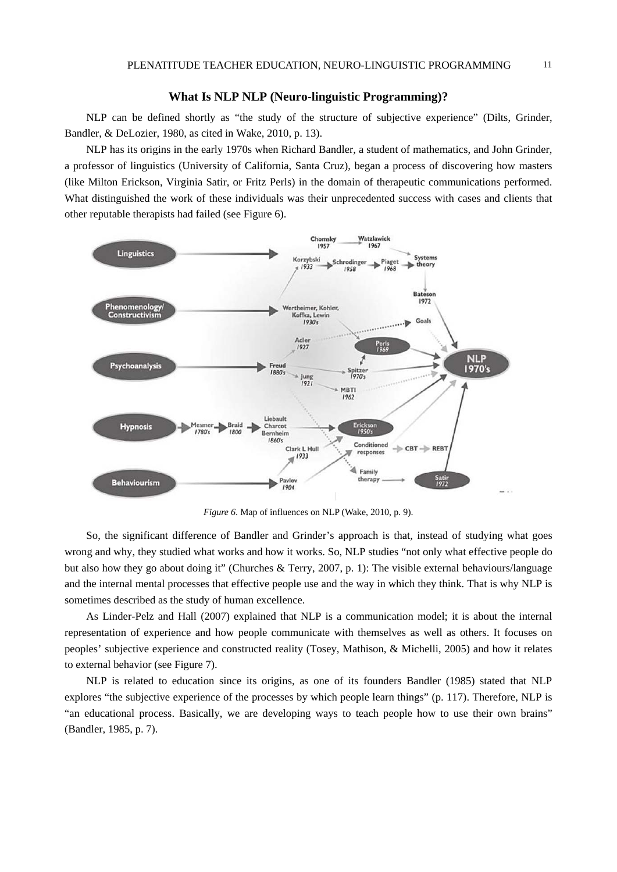#### **What Is NLP NLP (Neuro-linguistic Programming)?**

NLP can be defined shortly as "the study of the structure of subjective experience" (Dilts, Grinder, Bandler, & DeLozier, 1980, as cited in Wake, 2010, p. 13).

NLP has its origins in the early 1970s when Richard Bandler, a student of mathematics, and John Grinder, a professor of linguistics (University of California, Santa Cruz), began a process of discovering how masters (like Milton Erickson, Virginia Satir, or Fritz Perls) in the domain of therapeutic communications performed. What distinguished the work of these individuals was their unprecedented success with cases and clients that other reputable therapists had failed (see Figure 6).



*Figure 6*. Map of influences on NLP (Wake, 2010, p. 9).

So, the significant difference of Bandler and Grinder's approach is that, instead of studying what goes wrong and why, they studied what works and how it works. So, NLP studies "not only what effective people do but also how they go about doing it" (Churches & Terry, 2007, p. 1): The visible external behaviours/language and the internal mental processes that effective people use and the way in which they think. That is why NLP is sometimes described as the study of human excellence.

As Linder-Pelz and Hall (2007) explained that NLP is a communication model; it is about the internal representation of experience and how people communicate with themselves as well as others. It focuses on peoples' subjective experience and constructed reality (Tosey, Mathison, & Michelli, 2005) and how it relates to external behavior (see Figure 7).

NLP is related to education since its origins, as one of its founders Bandler (1985) stated that NLP explores "the subjective experience of the processes by which people learn things" (p. 117). Therefore, NLP is "an educational process. Basically, we are developing ways to teach people how to use their own brains" (Bandler, 1985, p. 7).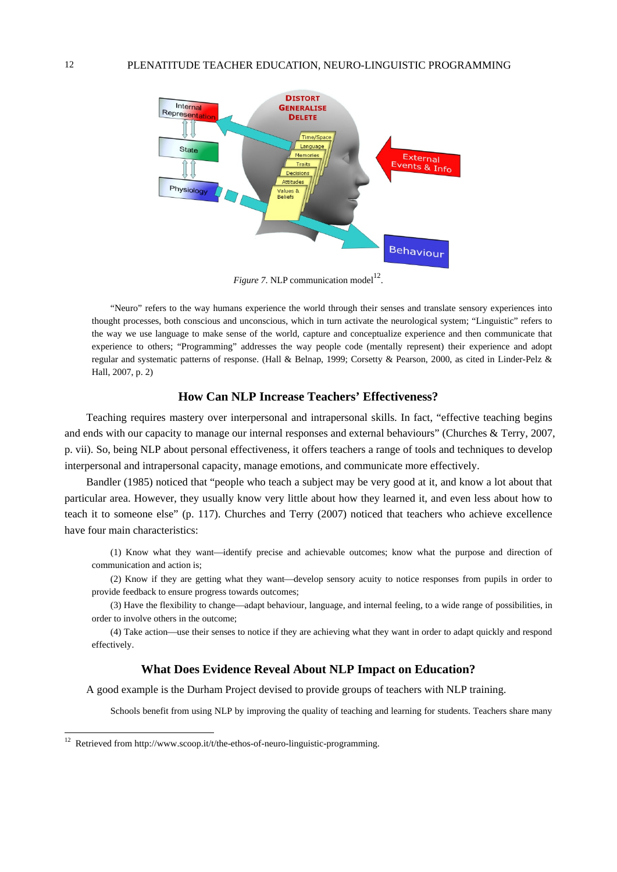

*Figure 7.* NLP communication model<sup>12</sup>.

"Neuro" refers to the way humans experience the world through their senses and translate sensory experiences into thought processes, both conscious and unconscious, which in turn activate the neurological system; "Linguistic" refers to the way we use language to make sense of the world, capture and conceptualize experience and then communicate that experience to others; "Programming" addresses the way people code (mentally represent) their experience and adopt regular and systematic patterns of response. (Hall & Belnap, 1999; Corsetty & Pearson, 2000, as cited in Linder-Pelz & Hall, 2007, p. 2)

# **How Can NLP Increase Teachers' Effectiveness?**

Teaching requires mastery over interpersonal and intrapersonal skills. In fact, "effective teaching begins and ends with our capacity to manage our internal responses and external behaviours" (Churches & Terry, 2007, p. vii). So, being NLP about personal effectiveness, it offers teachers a range of tools and techniques to develop interpersonal and intrapersonal capacity, manage emotions, and communicate more effectively.

Bandler (1985) noticed that "people who teach a subject may be very good at it, and know a lot about that particular area. However, they usually know very little about how they learned it, and even less about how to teach it to someone else" (p. 117). Churches and Terry (2007) noticed that teachers who achieve excellence have four main characteristics:

(1) Know what they want—identify precise and achievable outcomes; know what the purpose and direction of communication and action is;

(2) Know if they are getting what they want—develop sensory acuity to notice responses from pupils in order to provide feedback to ensure progress towards outcomes;

(3) Have the flexibility to change—adapt behaviour, language, and internal feeling, to a wide range of possibilities, in order to involve others in the outcome;

(4) Take action—use their senses to notice if they are achieving what they want in order to adapt quickly and respond effectively.

## **What Does Evidence Reveal About NLP Impact on Education?**

A good example is the Durham Project devised to provide groups of teachers with NLP training.

Schools benefit from using NLP by improving the quality of teaching and learning for students. Teachers share many

<sup>&</sup>lt;sup>12</sup> Retrieved from http://www.scoop.it/t/the-ethos-of-neuro-linguistic-programming.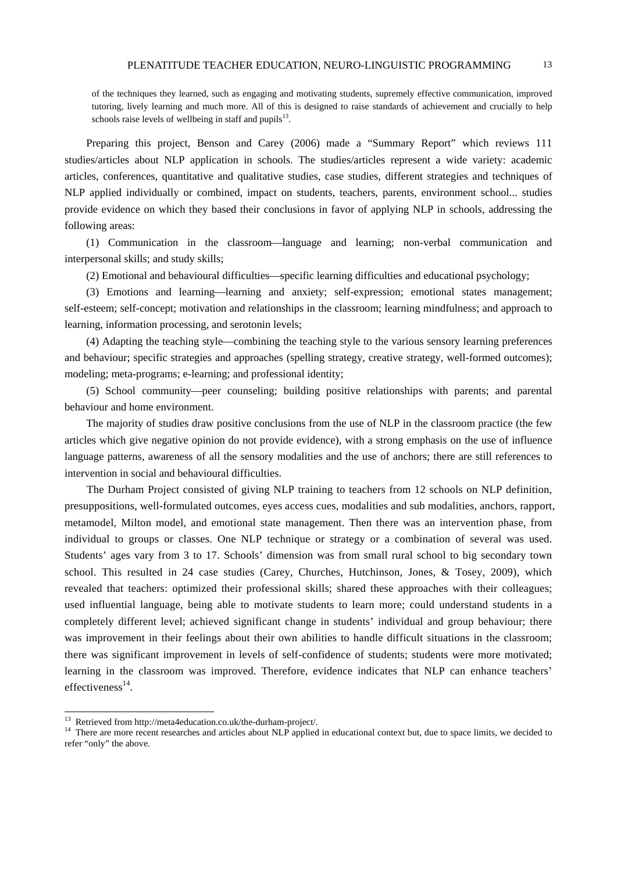of the techniques they learned, such as engaging and motivating students, supremely effective communication, improved tutoring, lively learning and much more. All of this is designed to raise standards of achievement and crucially to help schools raise levels of wellbeing in staff and pupils $^{13}$ .

Preparing this project, Benson and Carey (2006) made a "Summary Report" which reviews 111 studies/articles about NLP application in schools. The studies/articles represent a wide variety: academic articles, conferences, quantitative and qualitative studies, case studies, different strategies and techniques of NLP applied individually or combined, impact on students, teachers, parents, environment school... studies provide evidence on which they based their conclusions in favor of applying NLP in schools, addressing the following areas:

(1) Communication in the classroom-language and learning; non-verbal communication and interpersonal skills; and study skills;

 $(2)$  Emotional and behavioural difficulties—specific learning difficulties and educational psychology;

(3) Emotions and learning—learning and anxiety; self-expression; emotional states management; self-esteem; self-concept; motivation and relationships in the classroom; learning mindfulness; and approach to learning, information processing, and serotonin levels;

(4) Adapting the teaching style—combining the teaching style to the various sensory learning preferences and behaviour; specific strategies and approaches (spelling strategy, creative strategy, well-formed outcomes); modeling; meta-programs; e-learning; and professional identity;

(5) School community—peer counseling; building positive relationships with parents; and parental behaviour and home environment.

The majority of studies draw positive conclusions from the use of NLP in the classroom practice (the few articles which give negative opinion do not provide evidence), with a strong emphasis on the use of influence language patterns, awareness of all the sensory modalities and the use of anchors; there are still references to intervention in social and behavioural difficulties.

The Durham Project consisted of giving NLP training to teachers from 12 schools on NLP definition, presuppositions, well-formulated outcomes, eyes access cues, modalities and sub modalities, anchors, rapport, metamodel, Milton model, and emotional state management. Then there was an intervention phase, from individual to groups or classes. One NLP technique or strategy or a combination of several was used. Students' ages vary from 3 to 17. Schools' dimension was from small rural school to big secondary town school. This resulted in 24 case studies (Carey, Churches, Hutchinson, Jones, & Tosey, 2009), which revealed that teachers: optimized their professional skills; shared these approaches with their colleagues; used influential language, being able to motivate students to learn more; could understand students in a completely different level; achieved significant change in students' individual and group behaviour; there was improvement in their feelings about their own abilities to handle difficult situations in the classroom; there was significant improvement in levels of self-confidence of students; students were more motivated; learning in the classroom was improved. Therefore, evidence indicates that NLP can enhance teachers' effectiveness $^{14}$ .

 $^{13}$  Retrieved from http://meta4education.co.uk/the-durham-project/.

<sup>&</sup>lt;sup>14</sup> There are more recent researches and articles about NLP applied in educational context but, due to space limits, we decided to refer "only" the above.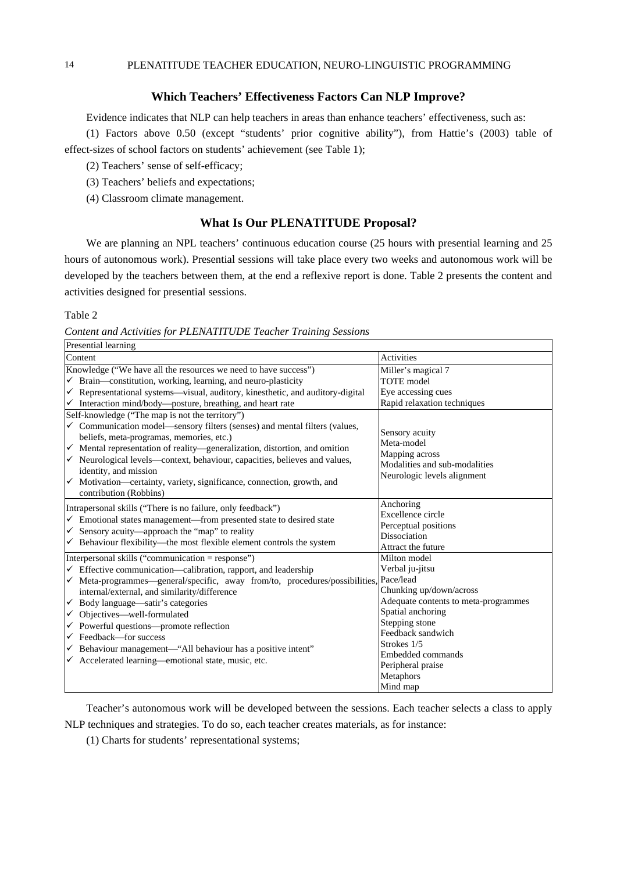### **Which Teachers' Effectiveness Factors Can NLP Improve?**

Evidence indicates that NLP can help teachers in areas than enhance teachers' effectiveness, such as:

(1) Factors above 0.50 (except "students' prior cognitive ability"), from Hattie's (2003) table of effect-sizes of school factors on students' achievement (see Table 1);

- (2) Teachers' sense of self-efficacy;
- (3) Teachers' beliefs and expectations;
- (4) Classroom climate management.

## **What Is Our PLENATITUDE Proposal?**

We are planning an NPL teachers' continuous education course (25 hours with presential learning and 25 hours of autonomous work). Presential sessions will take place every two weeks and autonomous work will be developed by the teachers between them, at the end a reflexive report is done. Table 2 presents the content and activities designed for presential sessions.

## Table 2

*Content and Activities for PLENATITUDE Teacher Training Sessions* 

| Presential learning                                                                                                                                                                                                                                                                                                                                                                                                                                                                                       |                                                                                                                |  |
|-----------------------------------------------------------------------------------------------------------------------------------------------------------------------------------------------------------------------------------------------------------------------------------------------------------------------------------------------------------------------------------------------------------------------------------------------------------------------------------------------------------|----------------------------------------------------------------------------------------------------------------|--|
| Content                                                                                                                                                                                                                                                                                                                                                                                                                                                                                                   | <b>Activities</b>                                                                                              |  |
| Knowledge ("We have all the resources we need to have success")                                                                                                                                                                                                                                                                                                                                                                                                                                           | Miller's magical 7                                                                                             |  |
| Brain—constitution, working, learning, and neuro-plasticity                                                                                                                                                                                                                                                                                                                                                                                                                                               | <b>TOTE</b> model                                                                                              |  |
| √ Representational systems—visual, auditory, kinesthetic, and auditory-digital                                                                                                                                                                                                                                                                                                                                                                                                                            | Eye accessing cues                                                                                             |  |
| $\checkmark$ Interaction mind/body—posture, breathing, and heart rate                                                                                                                                                                                                                                                                                                                                                                                                                                     | Rapid relaxation techniques                                                                                    |  |
| Self-knowledge ("The map is not the territory")<br>✓ Communication model—sensory filters (senses) and mental filters (values,<br>beliefs, meta-programas, memories, etc.)<br>Mental representation of reality-generalization, distortion, and omition<br>$\checkmark$<br>$\checkmark$ Neurological levels—context, behaviour, capacities, believes and values,<br>identity, and mission<br>Motivation-certainty, variety, significance, connection, growth, and<br>$\checkmark$<br>contribution (Robbins) | Sensory acuity<br>Meta-model<br>Mapping across<br>Modalities and sub-modalities<br>Neurologic levels alignment |  |
| Intrapersonal skills ("There is no failure, only feedback")                                                                                                                                                                                                                                                                                                                                                                                                                                               | Anchoring                                                                                                      |  |
| $\checkmark$ Emotional states management—from presented state to desired state                                                                                                                                                                                                                                                                                                                                                                                                                            | Excellence circle                                                                                              |  |
| Sensory acuity-approach the "map" to reality                                                                                                                                                                                                                                                                                                                                                                                                                                                              | Perceptual positions                                                                                           |  |
| Behaviour flexibility—the most flexible element controls the system                                                                                                                                                                                                                                                                                                                                                                                                                                       | <b>Dissociation</b>                                                                                            |  |
| ✓                                                                                                                                                                                                                                                                                                                                                                                                                                                                                                         | Attract the future                                                                                             |  |
| Interpersonal skills ("communication = response")                                                                                                                                                                                                                                                                                                                                                                                                                                                         | Milton model                                                                                                   |  |
| Effective communication—calibration, rapport, and leadership                                                                                                                                                                                                                                                                                                                                                                                                                                              | Verbal ju-jitsu                                                                                                |  |
| Meta-programmes—general/specific, away from/to, procedures/possibilities,                                                                                                                                                                                                                                                                                                                                                                                                                                 | Pace/lead                                                                                                      |  |
| ✓                                                                                                                                                                                                                                                                                                                                                                                                                                                                                                         | Chunking up/down/across                                                                                        |  |
| internal/external, and similarity/difference                                                                                                                                                                                                                                                                                                                                                                                                                                                              | Adequate contents to meta-programmes                                                                           |  |
| Body language—satir's categories                                                                                                                                                                                                                                                                                                                                                                                                                                                                          | Spatial anchoring                                                                                              |  |
| $\checkmark$                                                                                                                                                                                                                                                                                                                                                                                                                                                                                              | Stepping stone                                                                                                 |  |
| ✓ Objectives—well-formulated                                                                                                                                                                                                                                                                                                                                                                                                                                                                              | Feedback sandwich                                                                                              |  |
| Powerful questions-promote reflection                                                                                                                                                                                                                                                                                                                                                                                                                                                                     | Strokes 1/5                                                                                                    |  |
| $\checkmark$ Feedback—for success                                                                                                                                                                                                                                                                                                                                                                                                                                                                         | Embedded commands                                                                                              |  |
| Behaviour management-"All behaviour has a positive intent"                                                                                                                                                                                                                                                                                                                                                                                                                                                | Peripheral praise                                                                                              |  |
| ✓                                                                                                                                                                                                                                                                                                                                                                                                                                                                                                         | Metaphors                                                                                                      |  |
| ← Accelerated learning—emotional state, music, etc.                                                                                                                                                                                                                                                                                                                                                                                                                                                       | Mind map                                                                                                       |  |

Teacher's autonomous work will be developed between the sessions. Each teacher selects a class to apply NLP techniques and strategies. To do so, each teacher creates materials, as for instance:

(1) Charts for students' representational systems;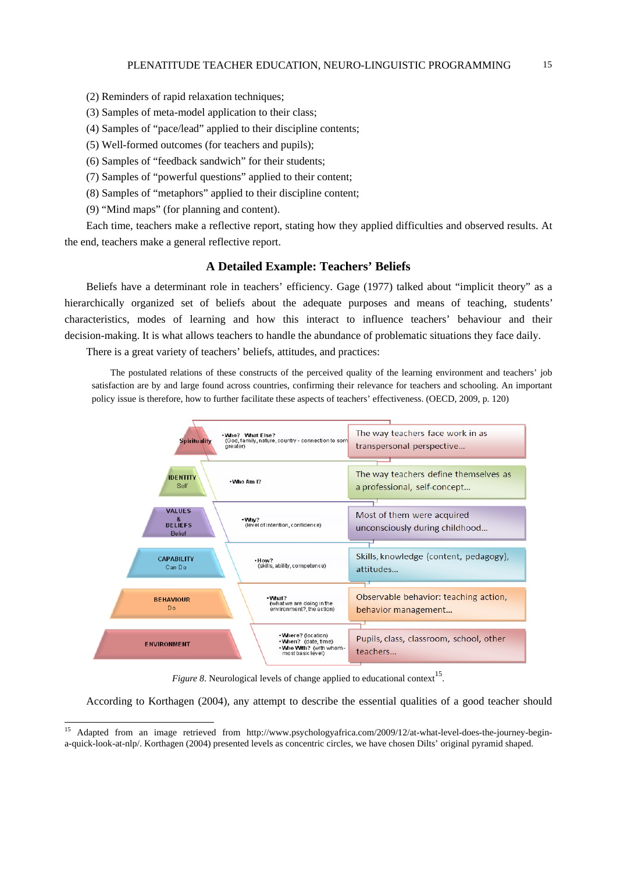- (2) Reminders of rapid relaxation techniques;
- (3) Samples of meta-model application to their class;
- (4) Samples of "pace/lead" applied to their discipline contents;
- (5) Well-formed outcomes (for teachers and pupils);
- (6) Samples of "feedback sandwich" for their students;
- (7) Samples of "powerful questions" applied to their content;
- (8) Samples of "metaphors" applied to their discipline content;
- (9) "Mind maps" (for planning and content).

 $\overline{a}$ 

Each time, teachers make a reflective report, stating how they applied difficulties and observed results. At the end, teachers make a general reflective report.

## **A Detailed Example: Teachers' Beliefs**

Beliefs have a determinant role in teachers' efficiency. Gage (1977) talked about "implicit theory" as a hierarchically organized set of beliefs about the adequate purposes and means of teaching, students' characteristics, modes of learning and how this interact to influence teachers' behaviour and their decision-making. It is what allows teachers to handle the abundance of problematic situations they face daily.

There is a great variety of teachers' beliefs, attitudes, and practices:

The postulated relations of these constructs of the perceived quality of the learning environment and teachers' job satisfaction are by and large found across countries, confirming their relevance for teachers and schooling. An important policy issue is therefore, how to further facilitate these aspects of teachers' effectiveness. (OECD, 2009, p. 120)



*Figure 8.* Neurological levels of change applied to educational context<sup>15</sup>.

According to Korthagen (2004), any attempt to describe the essential qualities of a good teacher should

<sup>&</sup>lt;sup>15</sup> Adapted from an image retrieved from http://www.psychologyafrica.com/2009/12/at-what-level-does-the-journey-begina-quick-look-at-nlp/. Korthagen (2004) presented levels as concentric circles, we have chosen Dilts' original pyramid shaped.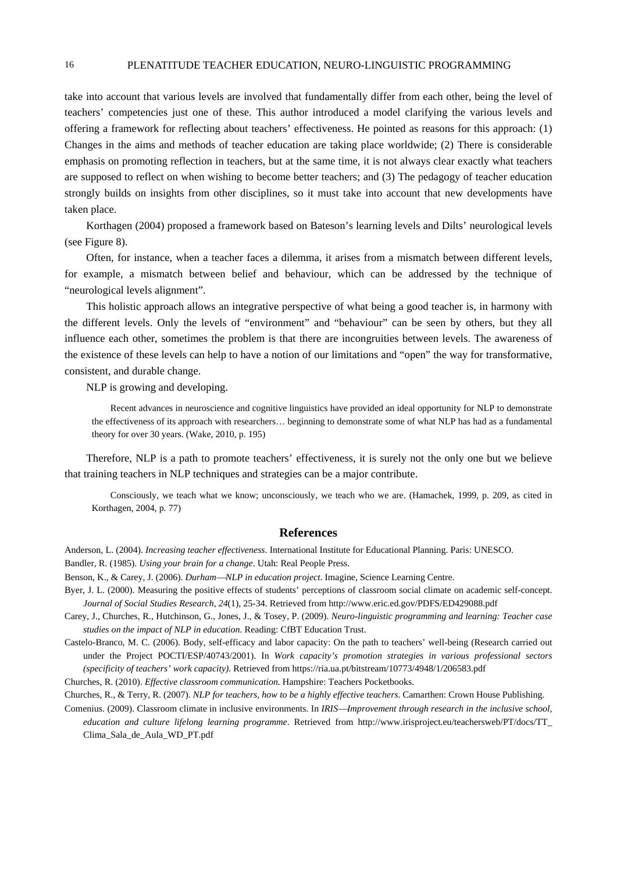take into account that various levels are involved that fundamentally differ from each other, being the level of teachers' competencies just one of these. This author introduced a model clarifying the various levels and offering a framework for reflecting about teachers' effectiveness. He pointed as reasons for this approach: (1) Changes in the aims and methods of teacher education are taking place worldwide; (2) There is considerable emphasis on promoting reflection in teachers, but at the same time, it is not always clear exactly what teachers are supposed to reflect on when wishing to become better teachers; and (3) The pedagogy of teacher education strongly builds on insights from other disciplines, so it must take into account that new developments have taken place.

Korthagen (2004) proposed a framework based on Bateson's learning levels and Dilts' neurological levels (see Figure 8).

Often, for instance, when a teacher faces a dilemma, it arises from a mismatch between different levels, for example, a mismatch between belief and behaviour, which can be addressed by the technique of "neurological levels alignment".

This holistic approach allows an integrative perspective of what being a good teacher is, in harmony with the different levels. Only the levels of "environment" and "behaviour" can be seen by others, but they all influence each other, sometimes the problem is that there are incongruities between levels. The awareness of the existence of these levels can help to have a notion of our limitations and "open" the way for transformative, consistent, and durable change.

NLP is growing and developing.

Recent advances in neuroscience and cognitive linguistics have provided an ideal opportunity for NLP to demonstrate the effectiveness of its approach with researchers… beginning to demonstrate some of what NLP has had as a fundamental theory for over 30 years. (Wake, 2010, p. 195)

Therefore, NLP is a path to promote teachers' effectiveness, it is surely not the only one but we believe that training teachers in NLP techniques and strategies can be a major contribute.

Consciously, we teach what we know; unconsciously, we teach who we are. (Hamachek, 1999, p. 209, as cited in Korthagen, 2004, p. 77)

#### **References**

Anderson, L. (2004). *Increasing teacher effectiveness*. International Institute for Educational Planning. Paris: UNESCO. Bandler, R. (1985). *Using your brain for a change*. Utah: Real People Press.

Benson, K., & Carey, J. (2006). *DurhamNLP in education project*. Imagine, Science Learning Centre.

- Byer, J. L. (2000). Measuring the positive effects of students' perceptions of classroom social climate on academic self-concept. *Journal of Social Studies Research, 24*(1), 25-34. Retrieved from http://www.eric.ed.gov/PDFS/ED429088.pdf
- Carey, J., Churches, R., Hutchinson, G., Jones, J., & Tosey, P. (2009). *Neuro-linguistic programming and learning: Teacher case studies on the impact of NLP in education*. Reading: CfBT Education Trust.
- Castelo-Branco, M. C. (2006). Body, self-efficacy and labor capacity: On the path to teachers' well-being (Research carried out under the Project POCTI/ESP/40743/2001). In *Work capacity's promotion strategies in various professional sectors (specificity of teachers' work capacity)*. Retrieved from https://ria.ua.pt/bitstream/10773/4948/1/206583.pdf

Churches, R. (2010). *Effective classroom communication*. Hampshire: Teachers Pocketbooks.

Churches, R., & Terry, R. (2007). *NLP for teachers, how to be a highly effective teachers*. Camarthen: Crown House Publishing.

Comenius. (2009). Classroom climate in inclusive environments. In *IRIS—Improvement through research in the inclusive school*, *education and culture lifelong learning programme*. Retrieved from http://www.irisproject.eu/teachersweb/PT/docs/TT\_ Clima\_Sala\_de\_Aula\_WD\_PT.pdf